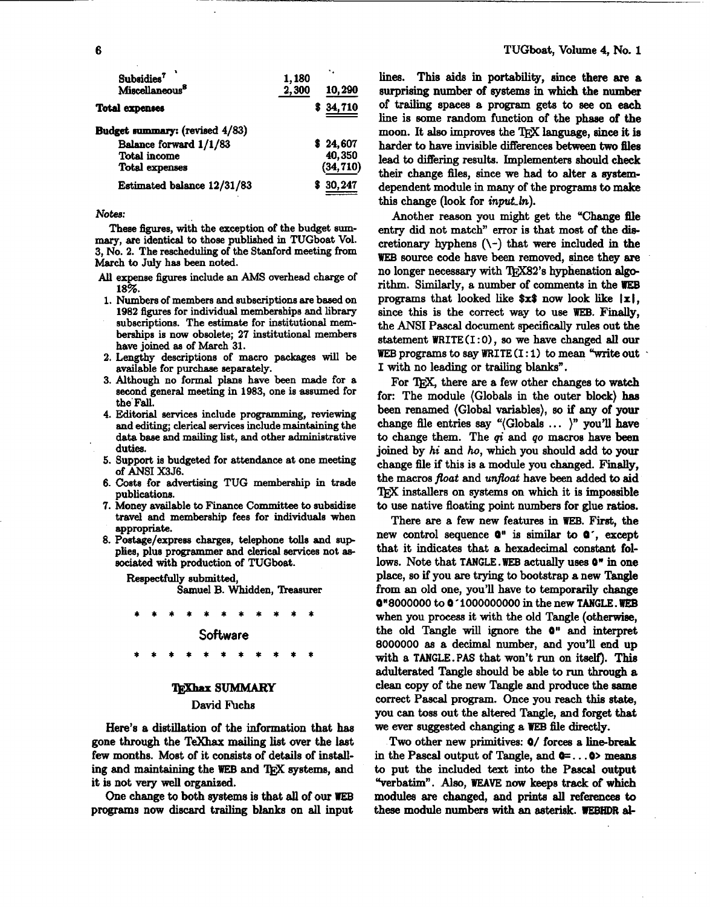| Subsidies <sup>7</sup><br>Miscellaneous <sup>8</sup> | 1,180<br>2,300 | 10,290    |
|------------------------------------------------------|----------------|-----------|
| <b>Total expenses</b>                                |                | \$34,710  |
| Budget summary: (revised 4/83)                       |                |           |
| Balance forward 1/1/83                               |                | \$24,607  |
| <b>Total income</b>                                  |                | 40,350    |
| <b>Total expenses</b>                                |                | (34, 710) |
| Estimated balance 12/31/83                           |                | \$30,247  |

Notes:

These figures, with the exception of the budget summary, are identical to those published in TUGboat Vol. 3. No. 2. The rescheduling of the Stanford meeting from March to July has been noted.

- All expense figures include an AMS overhead charge of 18%.
- 1. Numbers of members and subscriptions are based on 1982 figures for individual memberships and library subscriptions. The estimate for institutional memberships is now obsolete; 27 institutional members have joined as of March 31.
- 2. Lengthy descriptions of macro packages will be available for purchase separately.
- 3. Although no formal plans have been made for a second general meeting in 1983, one is assumed for the Fall.
- 4. Editorial services include programming, reviewing and editing; clerical services include maintaining the data base and mailing list, and other administrative duties.
- 5. Support is budgeted for attendance at one meeting of ANSI X3J6.
- 6. Costs for advertising TUG membership in trade publications.
- 7. Money available to Finance Committee to subsidize travel and membership fees for individuals when appropriate.
- 8. Postage/express charges, telephone tolls and supplies, plus programmer and clerical services not associated with production of TUGboat.

Respectfully submitted,

Samuel B. Whidden, Treasurer

# Software

## **TEXhax SUMMARY**

#### David Fuchs

Here's a distillation of the information that has gone through the TeXhax mailing list over the last few months. Most of it consists of details of installing and maintaining the WEB and TFX systems, and it is not very well organized.

One change to both systems is that all of our WEB programs now discard trailing blanks on all input

lines. This aids in portability, since there are a surprising number of systems in which the number of trailing spaces a program gets to see on each line is some random function of the phase of the moon. It also improves the T<sub>EX</sub> language, since it is harder to have invisible differences between two files lead to differing results. Implementers should check their change files, since we had to alter a systemdependent module in many of the programs to make this change (look for *input ln*).

Another reason you might get the "Change file entry did not match" error is that most of the discretionary hyphens  $(\neg)$  that were included in the WEB source code have been removed, since they are no longer necessary with TEX82's hyphenation algorithm. Similarly, a number of comments in the WEB programs that looked like  $x\$  now look like  $|x|$ . since this is the correct way to use WEB. Finally, the ANSI Pascal document specifically rules out the statement WRITE(I:0), so we have changed all our WEB programs to say WRITE  $(I:1)$  to mean "write out I with no leading or trailing blanks".

For T<sub>F</sub>X, there are a few other changes to watch for: The module (Globals in the outer block) has been renamed (Global variables), so if any of your change file entries say "(Globals ... )" you'll have to change them. The  $qi$  and  $qo$  macros have been joined by hi and ho, which you should add to your change file if this is a module you changed. Finally, the macros float and unfloat have been added to aid TFX installers on systems on which it is impossible to use native floating point numbers for glue ratios.

There are a few new features in WEB. First, the new control sequence  $Q''$  is similar to  $Q'$ , except that it indicates that a hexadecimal constant follows. Note that TANGLE. WEB actually uses  $0$ <sup>\*</sup> in one place, so if you are trying to bootstrap a new Tangle from an old one, you'll have to temporarily change **Q"8000000 to Q 1000000000 in the new TANGLE. WEB** when you process it with the old Tangle (otherwise, the old Tangle will ignore the  $0$ " and interpret 8000000 as a decimal number, and you'll end up with a TANGLE. PAS that won't run on itself). This adulterated Tangle should be able to run through a clean copy of the new Tangle and produce the same correct Pascal program. Once you reach this state, you can toss out the altered Tangle, and forget that we ever suggested changing a WEB file directly.

Two other new primitives: 0/ forces a line-break in the Pascal output of Tangle, and  $\mathbf{0} = \dots \mathbf{0}$  means to put the included text into the Pascal output "verbatim". Also, WEAVE now keeps track of which modules are changed, and prints all references to these module numbers with an asterisk. WEBHDR al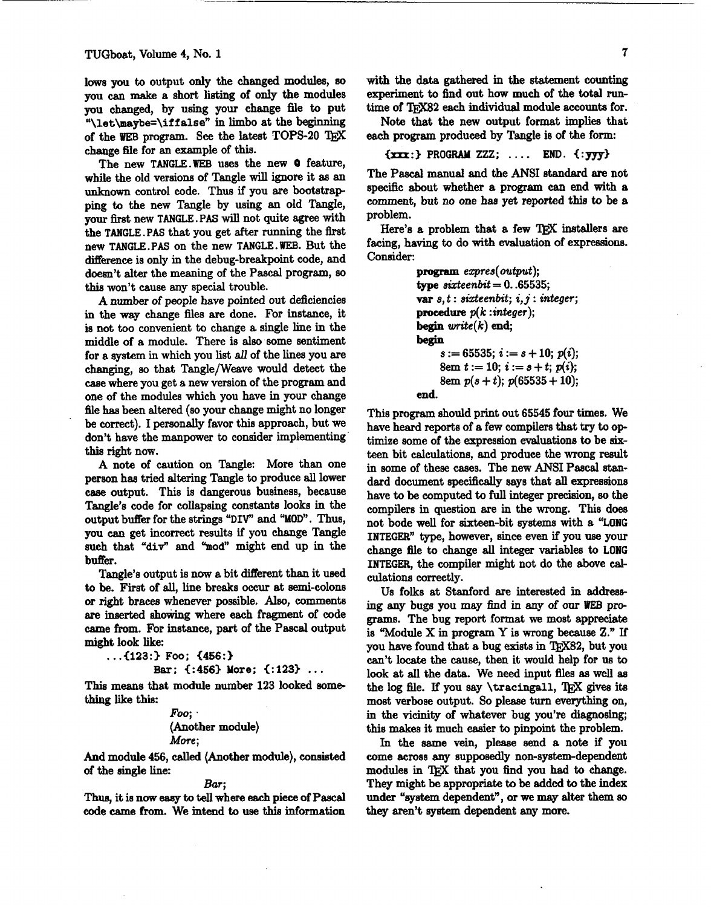lows you to output only the changed modules, **so**  you can make a short listing of only the modules you changed, by using your change file to put **"\let\msybe=\if** f **alse"** in limbo at the beginning of the WEB program. See the latest TOPS-20 TRX change file for an example of this.

The new TANGLE .WEB uses the new **0** feature, while the old versions of Tangle will ignore it **as** an unknown control code. Thus if you are bootstrap ping to the new Tangle by using an old Tangle, your first new TANGLE. PAS will not quite agree with the TANGLE. **PAS** that you get after running the first new TANGLE.PAS on the new TANGLE.WEB. But the difference is only in the debug-breakpoint code, and doesn't alter the meaning of the Pascal program, so **this** won't cause any special trouble.

A number of people have pointed out deficiencies in the way change files are done. For instance, it is not too convenient to change a single line in the middle of a module. There is also some sentiment for a system in which you list **all** of the lines you **are**  changing, so that Tangle/Weave would detect the case where you get a new version of the program and one of the modules which you have in your change file has been altered (so your change might no longer be correct). I personally favor this approach, but we don't have the manpower to consider implementing this right now.

A note of caution on Tangle: More than one person has tried altering Tangle to produce **all** lower case output. **This** is dangerous business, because Tangle's code for collapsing constants looks in the output buffer for the strings "DW' and "MOD". Thus, you **can** get incorrect results if you change Tangle such that "div" and "mod" might end up in the **butfer.** 

Tangle's output **is** now a bit different than it used to be. **Firat** of **all,** line breaks occur at semi-colons or right braces whenever possible. Also, comments are inserted showing where each fragment of code came from. For instance, part of the **Pascal** output might look like:

```
. ..Ci23:3 Foo; (456:)
```

```
Bar; <:4563 More; (:123) .. .
```
This means that module number 123 looked something like this:

```
Foo; . 
(Another module) 
More;
```
And module 456, called (Another module), consisted of the single line:

### Bar;

**Thus,** it is now easy to **tell** where each piece of Pascal code came from. We intend to use this information

**with** the data gathered in the statement counting experiment to find out how much of the total **run**time of TFX82 each individual module accounts for.

Note that the **new** output format implies that **each** program produced by Tangle is of the form:

$$
\{xxx:\} \text{ PROGRAM } ZZZ; \ \ldots \text{ END. } \{:\text{yyy}\}
$$

The Pascal manual and the ANSI standard are not specific about whether a program can end with a comment, but no one haa yet reported this to be a problem.

Here's a problem that a few TFX installers are facing, having to do with evaluation of expressions. Consider:

```
program expres(output);
true \, switch = 0.05535;var s, t: sixteenbit; i, j: integer;
procedure p(k:integer);
begin wite(k) end; 
begin 
     s := 65535; i := s + 10; p(i);8em \t{t} := 10; \t{i} := s + t; \t{p}(i);8em p(s + t); p(65535 + 10);
```
end.

This program should print out 65545 four times. We have heard reports of a few compilers that **try** to **op**  timise some of the expression evaluations to be sixteen bit calculations, and produce the wrong result in some of these cases. The new **ANSI** Pascal standard document specifically says that all expressions have to be computed to full integer precision, so the compilers in question are in the wrong. This does not bode well for aixteen-bit **systems** with a "LONG INTEGER" type, however, since even if you **use** your change 6le to change **all** integer variables to LONG INTEGER, the compiler might not do the above cad culations correctly.

Us folks at Stanford are interested in addressing any bugs you may find in any of our WEB pro**grams.** The bug report format we most appreciate is "Module X in program Y is wrong because **2." If**  you have found that a bug exists in TEX82, but you can't locate the cause, then it would help for us to look at all the data. We need input files as well as the log file. If you say **\tracingall**, TEX gives its most verbose output. So please turn everything on. look at all the data. We need input 6les **as** well as most verbose output. So please turn everything on, in the vicinity of whatever bug you're diagnosing; this **makes** it much easier to pinpoint the problem.

In the same vein, please aend a note if you come across any supposedly non-system-dependent modules in TEX that you find you had to change. **They** might be appropriate to be added to the index under "system dependent", or we may alter them **so**  they aren't **ayetern** dependent any more.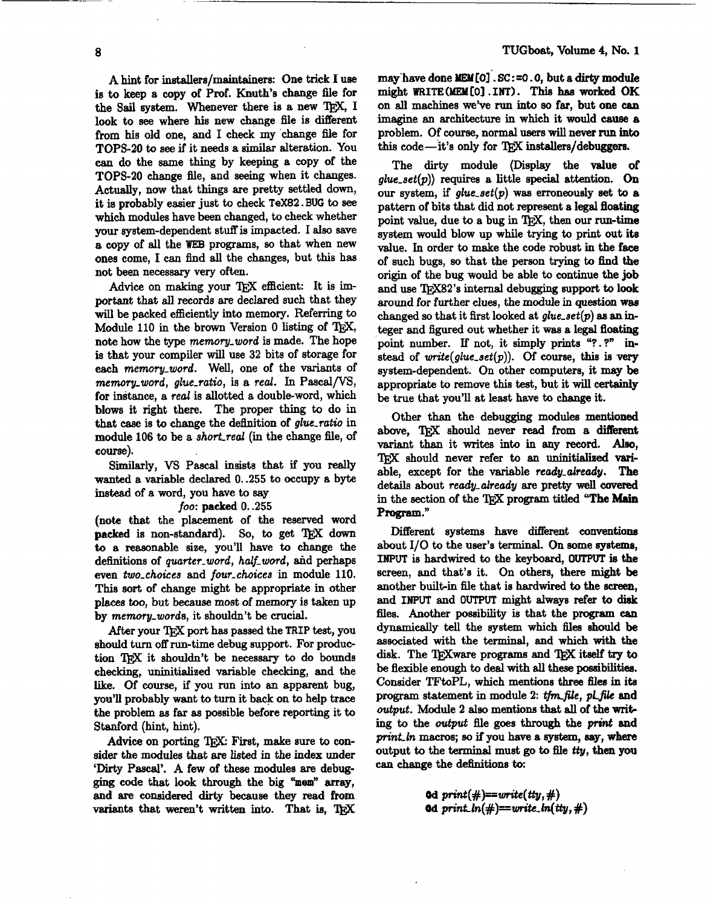A hint for installers/maintainers: One trick I use is to keep a copy of Prof. Knuth's change file for the Sail system. Whenever there is a new TFX, I look to **see** where his new change flle is different from his old one, and I check my change file for TOPS-20 to see if it needs a similar alteration. You can do the same thing by keeping a copy of the TOPS-20 change flle, and seeing when it changes. Actually, now that things are pretty settled down, it is probably easier just to check **TeX82.** BUG to **see**  which modules have been changed, to check whether your system-dependent stuff is impacted. I also save a copy of all the **WEB** programs, **so** that when new ones come, I can find all the changes, but this has not been necessary very often.

Advice on making your TFX efficient: It is important that all records are declared such that they will be packed efficiently **into** memory. Referring to Module 110 in the brown Version 0 listing of T<sub>E</sub>X, note how the type memory-word is made. The hope is that your compiler will use 32 bits of storage for each memory\_word. Well, one of the variants of memory\_word, glue\_ratio, is a real. In Pascal/VS, for instance, a real is allotted a double-word, which blows it right there. The proper thing to do in that case is to change the definition of glue-ratio in module 106 to be a short-real **(in** the change file, of **course).** 

Similarly, VS Pascal insists that if you really wanted a variable declared 0. .255 to occupy a byte instead of a word, you have to say

## foo: **packed** 0. .255

(note that the placement of the reserved word packed is non-standard). So, to get TEX down to a reasonable size, you'll have to change the definitions of quarter\_word, half\_word, and perhaps even two-choices and four-choices in module 110. This **sort** of change might be appropriate in other places too, but because most of memory is taken up by memory-words, it shouldn't be crucial.

After your TFX port has passed the TRIP test, you should turn off run-time debug support. For production TFX it shouldn't be necessary to do bounds checking, uninitialized variable checking, and the like. Of **course,** if you run into an apparent bug, you'll probably want to turn it back on to help trace the problem as far as possible before reporting it to Stanford (hint, hint).

Advice on porting TEX: First, make sure to consider the modules that **are** listed in the index under 'Dirty Pascal'. A few of these modules are debug**ging** code that look through the big **%em"** array, and are considered dirty because they read from variants that weren't written into. That is, TEX may'have done **MEAll01'.** SC : =O . *0,* but a dirty **module**  might **WRITE (MEM [Ol** , **INTI. Tbia has** worked OK on **all** machines we've run into so far, but one **can**  imagine an architecture in which it would cause a problem. Of course, normal users will never run into this code—it's only for TFX installers/debuggers.

The dirty module (Display the value of glue-set(p)) requires a little special attention. **On**  our system, if glue\_set(p) was erroneously set to a pattern of bits that did not represent a legal floating point value, due to a bug in TFX, then our run-time system would blow up while trying to print out ite value. **In** order to make the code robust in the face of such bugs, **so** that the person trying to **find the**  origin of the bug would be able to continue the job and use TFX82's internal debugging support to look around for further clues, the **module** in question **was**  changed so that it first looked at glue-set(p) **as** an integer and figured out whether it **was** a legal floating point number. If not, it simply prints "?.?" instead of  $write(glue_set(p))$ . Of course, this is very system-dependent. On other computers, it may be appropriate to remove this **test,** but it **will** certainly be true that you'll at least have to change it.

Other than the debugging modules mentioned above, TFX should never read from a different variant than it writes **into** in any **record. Also,**  TEX should never refer to an **uninitidised** variable, except for the variable ready-already. **The**  details about ready-already are pretty well **covered**  in the section of the T<sub>RX</sub> program titled "The Main Program."

Different systems have different conventions about 110 to the user's terminal. **On** some eystems, INPUT is hardwired to the keyboard, OUTPUT is the screen, and that's it. On others, there might be another built-in file that is hardwired to the screen, and **INPUT** and **OUTPUT** might always refer to **disk flea.** Another possibility is that the program **can**  dynamically tell the system which **flea** should be associated with the terminal, and which with the disk. The 'QjXware programs and 'QjX iteelf **try** to be flexible enough to deal with **all these poeeib'itiw.**  Consider TFtoPL, which mentions three files in its program statement in module 2: tfm\_file, *pl\_file* and output. Module 2 also mentions that all of the writ**ing** to the output file goes through the **print** and *print-ln* macros; so if you have a **system,** say, where output to the **terminal** must go to **file ttg,** then you **can** change the dehitions **to:** 

> 0d  $print(\#) == write(tty, \#)$ 0d print\_ln(#)==write\_ln(tty,#)